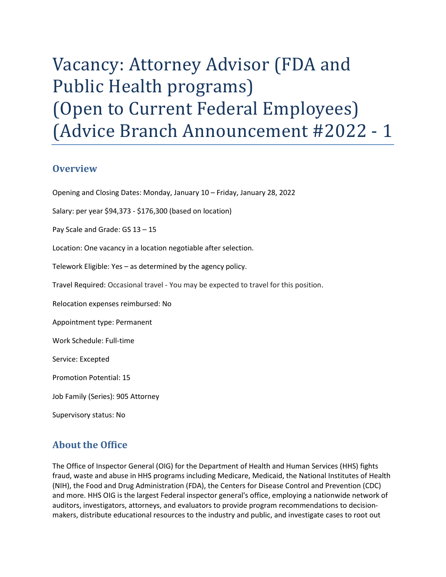# Vacancy: Attorney Advisor (FDA and Public Health programs) (Open to Current Federal Employees) (Advice Branch Announcement #2022 - 1

#### **Overview**

Opening and Closing Dates: Monday, January 10 – Friday, January 28, 2022

Salary: per year \$94,373 - \$176,300 (based on location)

Pay Scale and Grade: GS 13 – 15

Location: One vacancy in a location negotiable after selection.

Telework Eligible: Yes – as determined by the agency policy.

Travel Required: Occasional travel - You may be expected to travel for this position.

Relocation expenses reimbursed: No

Appointment type: Permanent

Work Schedule: Full-time

Service: Excepted

Promotion Potential: 15

Job Family (Series): 905 Attorney

Supervisory status: No

## About the Office

 The Office of Inspector General (OIG) for the Department of Health and Human Services (HHS) fights fraud, waste and abuse in HHS programs including Medicare, Medicaid, the National Institutes of Health (NIH), the Food and Drug Administration (FDA), the Centers for Disease Control and Prevention (CDC) and more. HHS OIG is the largest Federal inspector general's office, employing a nationwide network of auditors, investigators, attorneys, and evaluators to provide program recommendations to decision-makers, distribute educational resources to the industry and public, and investigate cases to root out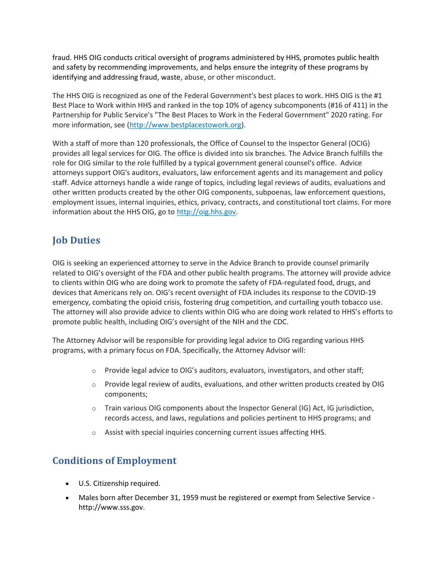fraud. HHS OIG conducts critical oversight of programs administered by HHS, promotes public health and safety by recommending improvements, and helps ensure the integrity of these programs by identifying and addressing fraud, waste, abuse, or other misconduct.

 The HHS OIG is recognized as one of the Federal Government's best places to work. HHS OIG is the #1 Best Place to Work within HHS and ranked in the top 10% of agency subcomponents (#16 of 411) in the Partnership for Public Service's "The Best Places to Work in the Federal Government" 2020 rating. For more information, see (http://www.bestplacestowork.org).

 With a staff of more than 120 professionals, the Office of Counsel to the Inspector General (OCIG) provides all legal services for OIG. The office is divided into six branches. The Advice Branch fulfills the role for OIG similar to the role fulfilled by a typical government general counsel's office. Advice attorneys support OIG's auditors, evaluators, law enforcement agents and its management and policy staff. Advice attorneys handle a wide range of topics, including legal reviews of audits, evaluations and other written products created by the other OIG components, subpoenas, law enforcement questions, employment issues, internal inquiries, ethics, privacy, contracts, and constitutional tort claims. For more information about the HHS OIG, go to http://oig.hhs.gov.

# Job Duties

 OIG is seeking an experienced attorney to serve in the Advice Branch to provide counsel primarily related to OIG's oversight of the FDA and other public health programs. The attorney will provide advice to clients within OIG who are doing work to promote the safety of FDA-regulated food, drugs, and devices that Americans rely on. OIG's recent oversight of FDA includes its response to the COVID-19 emergency, combating the opioid crisis, fostering drug competition, and curtailing youth tobacco use. The attorney will also provide advice to clients within OIG who are doing work related to HHS's efforts to promote public health, including OIG's oversight of the NIH and the CDC.

 The Attorney Advisor will be responsible for providing legal advice to OIG regarding various HHS programs, with a primary focus on FDA. Specifically, the Attorney Advisor will:

- $\circ$  Provide legal advice to OIG's auditors, evaluators, investigators, and other staff;
- $\circ$  Provide legal review of audits, evaluations, and other written products created by OIG components;
- o Train various OIG components about the Inspector General (IG) Act, IG jurisdiction, records access, and laws, regulations and policies pertinent to HHS programs; and
- $\circ$  Assist with special inquiries concerning current issues affecting HHS.

#### Conditions of Employment

- U.S. Citizenship required.
- Males born after December 31, 1959 must be registered or exempt from Selective Service http://www.sss.gov.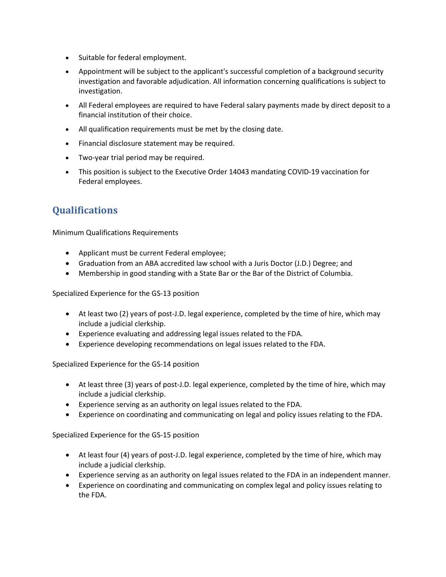- Suitable for federal employment.
- Appointment will be subject to the applicant's successful completion of a background security investigation and favorable adjudication. All information concerning qualifications is subject to investigation.
- All Federal employees are required to have Federal salary payments made by direct deposit to a financial institution of their choice.
- All qualification requirements must be met by the closing date.
- Financial disclosure statement may be required.
- Two-year trial period may be required.
- This position is subject to the Executive Order 14043 mandating COVID-19 vaccination for Federal employees.

## **Qualifications**

Minimum Qualifications Requirements

- Applicant must be current Federal employee;
- Graduation from an ABA accredited law school with a Juris Doctor (J.D.) Degree; and
- Membership in good standing with a State Bar or the Bar of the District of Columbia.

Specialized Experience for the GS-13 position

- At least two (2) years of post-J.D. legal experience, completed by the time of hire, which may include a judicial clerkship.
- Experience evaluating and addressing legal issues related to the FDA.
- Experience developing recommendations on legal issues related to the FDA.

Specialized Experience for the GS-14 position

- At least three (3) years of post-J.D. legal experience, completed by the time of hire, which may include a judicial clerkship.
- Experience serving as an authority on legal issues related to the FDA.
- Experience on coordinating and communicating on legal and policy issues relating to the FDA.

Specialized Experience for the GS-15 position

- At least four (4) years of post-J.D. legal experience, completed by the time of hire, which may include a judicial clerkship.
- Experience serving as an authority on legal issues related to the FDA in an independent manner.
- Experience on coordinating and communicating on complex legal and policy issues relating to the FDA.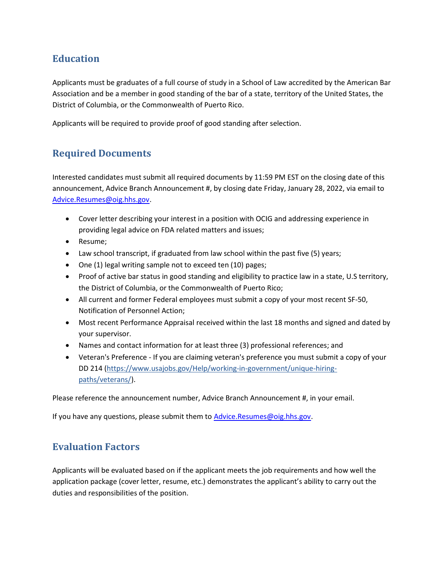# **Education**

 Applicants must be graduates of a full course of study in a School of Law accredited by the American Bar Association and be a member in good standing of the bar of a state, territory of the United States, the District of Columbia, or the Commonwealth of Puerto Rico.

Applicants will be required to provide proof of good standing after selection.

# Required Documents

 Interested candidates must submit all required documents by 11:59 PM EST on the closing date of this announcement, Advice Branch Announcement #, by closing date Friday, January 28, 2022, via email to Advice.Resumes@oig.hhs.gov.

- Cover letter describing your interest in a position with OCIG and addressing experience in providing legal advice on FDA related matters and issues;
- Resume:
- Law school transcript, if graduated from law school within the past five (5) years;
- One (1) legal writing sample not to exceed ten (10) pages;
- Proof of active bar status in good standing and eligibility to practice law in a state, U.S territory, the District of Columbia, or the Commonwealth of Puerto Rico;
- All current and former Federal employees must submit a copy of your most recent SF-50, Notification of Personnel Action;
- Most recent Performance Appraisal received within the last 18 months and signed and dated by your supervisor.
- Names and contact information for at least three (3) professional references; and
- Veteran's Preference If you are claiming veteran's preference you must submit a copy of your DD 214 (https://www.usajobs.gov/Help/working-in-government/unique-hiring-paths/veterans/).

Please reference the announcement number, Advice Branch Announcement #, in your email.

If you have any questions, please submit them to **Advice.Resumes@oig.hhs.gov**.

#### Evaluation Factors

 Applicants will be evaluated based on if the applicant meets the job requirements and how well the application package (cover letter, resume, etc.) demonstrates the applicant's ability to carry out the duties and responsibilities of the position.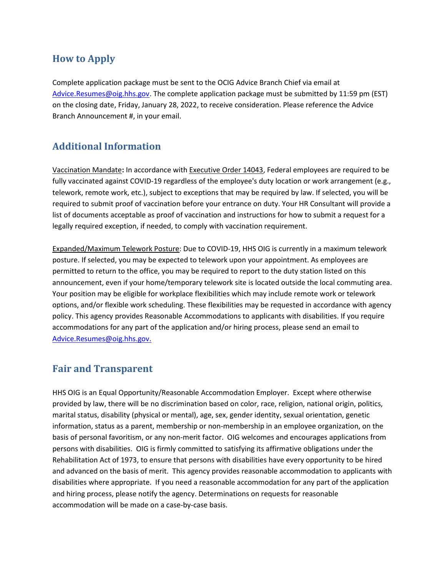## How to Apply

 Complete application package must be sent to the OCIG Advice Branch Chief via email at Advice.Resumes@oig.hhs.gov. The complete application package must be submitted by 11:59 pm (EST) on the closing date, Friday, January 28, 2022, to receive consideration. Please reference the Advice Branch Announcement #, in your email.

#### Additional Information

Vaccination Mandate: In accordance with Executive Order 14043, Federal employees are required to be fully vaccinated against COVID-19 regardless of the employee's duty location or work arrangement (e.g., telework, remote work, etc.), subject to exceptions that may be required by law. If selected, you will be required to submit proof of vaccination before your entrance on duty. Your HR Consultant will provide a list of documents acceptable as proof of vaccination and instructions for how to submit a request for a legally required exception, if needed, to comply with vaccination requirement.

Expanded/Maximum Telework Posture: Due to COVID-19, HHS OIG is currently in a maximum telework posture. If selected, you may be expected to telework upon your appointment. As employees are permitted to return to the office, you may be required to report to the duty station listed on this announcement, even if your home/temporary telework site is located outside the local commuting area. Your position may be eligible for workplace flexibilities which may include remote work or telework options, and/or flexible work scheduling. These flexibilities may be requested in accordance with agency policy. This agency provides Reasonable Accommodations to applicants with disabilities. If you require accommodations for any part of the application and/or hiring process, please send an email to Advice.Resumes@oig.hhs.gov.

#### Fair and Transparent

 HHS OIG is an Equal Opportunity/Reasonable Accommodation Employer. Except where otherwise provided by law, there will be no discrimination based on color, race, religion, national origin, politics, marital status, disability (physical or mental), age, sex, gender identity, sexual orientation, genetic information, status as a parent, membership or non-membership in an employee organization, on the basis of personal favoritism, or any non-merit factor. OIG welcomes and encourages applications from persons with disabilities. OIG is firmly committed to satisfying its affirmative obligations under the Rehabilitation Act of 1973, to ensure that persons with disabilities have every opportunity to be hired and advanced on the basis of merit. This agency provides reasonable accommodation to applicants with disabilities where appropriate. If you need a reasonable accommodation for any part of the application and hiring process, please notify the agency. Determinations on requests for reasonable accommodation will be made on a case-by-case basis.